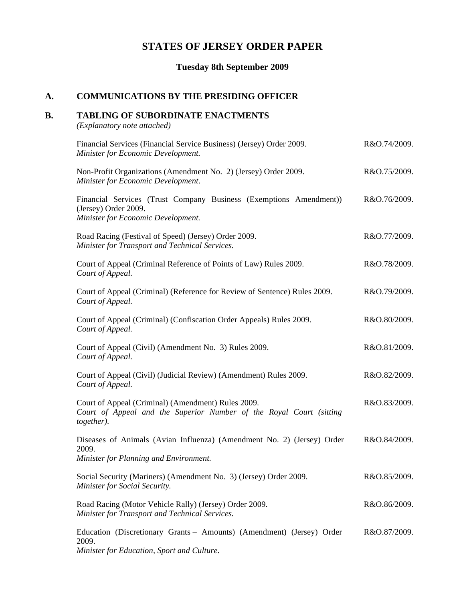# **STATES OF JERSEY ORDER PAPER**

**Tuesday 8th September 2009**

# **A. COMMUNICATIONS BY THE PRESIDING OFFICER**

# **B. TABLING OF SUBORDINATE ENACTMENTS**

*(Explanatory note attached)*

| Financial Services (Financial Service Business) (Jersey) Order 2009.<br>Minister for Economic Development.                              | R&O.74/2009. |
|-----------------------------------------------------------------------------------------------------------------------------------------|--------------|
| Non-Profit Organizations (Amendment No. 2) (Jersey) Order 2009.<br>Minister for Economic Development.                                   | R&O.75/2009. |
| Financial Services (Trust Company Business (Exemptions Amendment))<br>(Jersey) Order 2009.<br>Minister for Economic Development.        | R&O.76/2009. |
| Road Racing (Festival of Speed) (Jersey) Order 2009.<br>Minister for Transport and Technical Services.                                  | R&O.77/2009. |
| Court of Appeal (Criminal Reference of Points of Law) Rules 2009.<br>Court of Appeal.                                                   | R&O.78/2009. |
| Court of Appeal (Criminal) (Reference for Review of Sentence) Rules 2009.<br>Court of Appeal.                                           | R&O.79/2009. |
| Court of Appeal (Criminal) (Confiscation Order Appeals) Rules 2009.<br>Court of Appeal.                                                 | R&O.80/2009. |
| Court of Appeal (Civil) (Amendment No. 3) Rules 2009.<br>Court of Appeal.                                                               | R&O.81/2009. |
| Court of Appeal (Civil) (Judicial Review) (Amendment) Rules 2009.<br>Court of Appeal.                                                   | R&O.82/2009. |
| Court of Appeal (Criminal) (Amendment) Rules 2009.<br>Court of Appeal and the Superior Number of the Royal Court (sitting<br>together). | R&O.83/2009. |
| Diseases of Animals (Avian Influenza) (Amendment No. 2) (Jersey) Order<br>2009.<br>Minister for Planning and Environment.               | R&O.84/2009. |
| Social Security (Mariners) (Amendment No. 3) (Jersey) Order 2009.<br>Minister for Social Security.                                      | R&O.85/2009. |
| Road Racing (Motor Vehicle Rally) (Jersey) Order 2009.<br>Minister for Transport and Technical Services.                                | R&O.86/2009. |
| Education (Discretionary Grants - Amounts) (Amendment) (Jersey) Order<br>2009.<br>Minister for Education, Sport and Culture.            | R&O.87/2009. |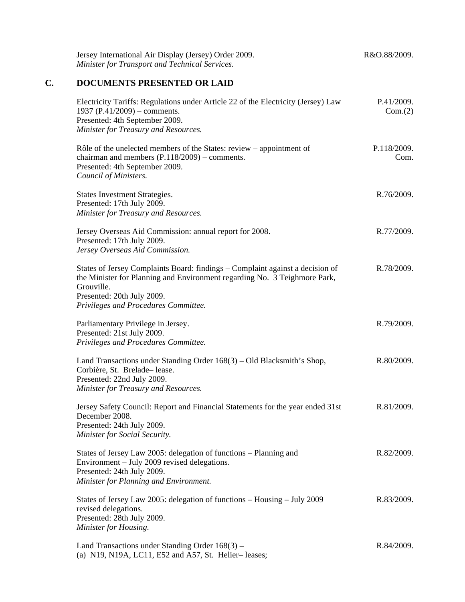|    | Jersey International Air Display (Jersey) Order 2009.<br>Minister for Transport and Technical Services.                                                                                                                                        | R&O.88/2009.          |
|----|------------------------------------------------------------------------------------------------------------------------------------------------------------------------------------------------------------------------------------------------|-----------------------|
| C. | <b>DOCUMENTS PRESENTED OR LAID</b>                                                                                                                                                                                                             |                       |
|    | Electricity Tariffs: Regulations under Article 22 of the Electricity (Jersey) Law<br>1937 (P.41/2009) – comments.<br>Presented: 4th September 2009.<br>Minister for Treasury and Resources.                                                    | P.41/2009.<br>Com.(2) |
|    | Rôle of the unelected members of the States: review - appointment of<br>chairman and members $(P.118/2009)$ – comments.<br>Presented: 4th September 2009.<br>Council of Ministers.                                                             | P.118/2009.<br>Com.   |
|    | States Investment Strategies.<br>Presented: 17th July 2009.<br>Minister for Treasury and Resources.                                                                                                                                            | R.76/2009.            |
|    | Jersey Overseas Aid Commission: annual report for 2008.<br>Presented: 17th July 2009.<br>Jersey Overseas Aid Commission.                                                                                                                       | R.77/2009.            |
|    | States of Jersey Complaints Board: findings – Complaint against a decision of<br>the Minister for Planning and Environment regarding No. 3 Teighmore Park,<br>Grouville.<br>Presented: 20th July 2009.<br>Privileges and Procedures Committee. | R.78/2009.            |
|    | Parliamentary Privilege in Jersey.<br>Presented: 21st July 2009.<br>Privileges and Procedures Committee.                                                                                                                                       | R.79/2009.            |
|    | Land Transactions under Standing Order 168(3) – Old Blacksmith's Shop,<br>Corbière, St. Brelade-lease.<br>Presented: 22nd July 2009.<br>Minister for Treasury and Resources.                                                                   | R.80/2009.            |
|    | Jersey Safety Council: Report and Financial Statements for the year ended 31st<br>December 2008.<br>Presented: 24th July 2009.<br>Minister for Social Security.                                                                                | R.81/2009.            |
|    | States of Jersey Law 2005: delegation of functions – Planning and<br>Environment – July 2009 revised delegations.<br>Presented: 24th July 2009.<br>Minister for Planning and Environment.                                                      | R.82/2009.            |
|    | States of Jersey Law 2005: delegation of functions – Housing – July 2009<br>revised delegations.<br>Presented: 28th July 2009.<br>Minister for Housing.                                                                                        | R.83/2009.            |
|    | Land Transactions under Standing Order 168(3) –<br>(a) N19, N19A, LC11, E52 and A57, St. Helier-leases;                                                                                                                                        | R.84/2009.            |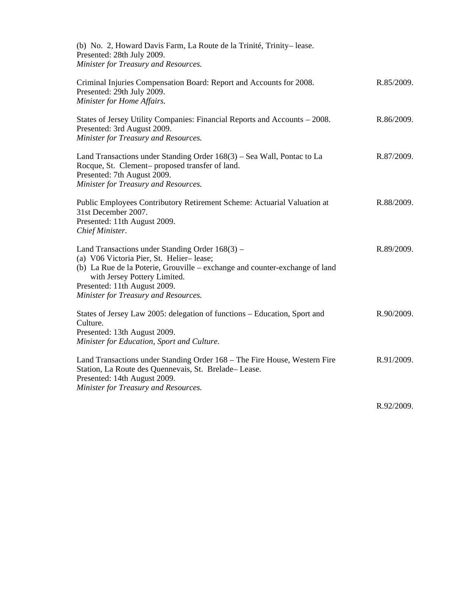| (b) No. 2, Howard Davis Farm, La Route de la Trinité, Trinity-lease.<br>Presented: 28th July 2009.<br>Minister for Treasury and Resources.                                                                                                                                         |            |
|------------------------------------------------------------------------------------------------------------------------------------------------------------------------------------------------------------------------------------------------------------------------------------|------------|
| Criminal Injuries Compensation Board: Report and Accounts for 2008.<br>Presented: 29th July 2009.<br>Minister for Home Affairs.                                                                                                                                                    | R.85/2009. |
| States of Jersey Utility Companies: Financial Reports and Accounts – 2008.<br>Presented: 3rd August 2009.<br>Minister for Treasury and Resources.                                                                                                                                  | R.86/2009. |
| Land Transactions under Standing Order $168(3)$ – Sea Wall, Pontac to La<br>Rocque, St. Clement- proposed transfer of land.<br>Presented: 7th August 2009.<br>Minister for Treasury and Resources.                                                                                 | R.87/2009. |
| Public Employees Contributory Retirement Scheme: Actuarial Valuation at<br>31st December 2007.<br>Presented: 11th August 2009.<br>Chief Minister.                                                                                                                                  | R.88/2009. |
| Land Transactions under Standing Order 168(3) –<br>(a) V06 Victoria Pier, St. Helier-lease;<br>(b) La Rue de la Poterie, Grouville - exchange and counter-exchange of land<br>with Jersey Pottery Limited.<br>Presented: 11th August 2009.<br>Minister for Treasury and Resources. | R.89/2009. |
| States of Jersey Law 2005: delegation of functions – Education, Sport and<br>Culture.<br>Presented: 13th August 2009.<br>Minister for Education, Sport and Culture.                                                                                                                | R.90/2009. |
| Land Transactions under Standing Order 168 – The Fire House, Western Fire<br>Station, La Route des Quennevais, St. Brelade-Lease.<br>Presented: 14th August 2009.<br>Minister for Treasury and Resources.                                                                          | R.91/2009. |

R.92/2009.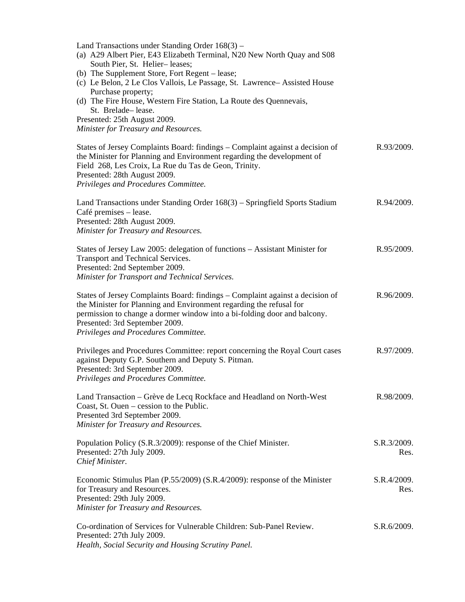| Land Transactions under Standing Order 168(3) –<br>(a) A29 Albert Pier, E43 Elizabeth Terminal, N20 New North Quay and S08<br>South Pier, St. Helier-leases;<br>(b) The Supplement Store, Fort Regent – lease;<br>(c) Le Belon, 2 Le Clos Vallois, Le Passage, St. Lawrence-Assisted House<br>Purchase property;<br>(d) The Fire House, Western Fire Station, La Route des Quennevais,<br>St. Brelade-lease.<br>Presented: 25th August 2009.<br>Minister for Treasury and Resources. |                     |
|--------------------------------------------------------------------------------------------------------------------------------------------------------------------------------------------------------------------------------------------------------------------------------------------------------------------------------------------------------------------------------------------------------------------------------------------------------------------------------------|---------------------|
| States of Jersey Complaints Board: findings – Complaint against a decision of<br>the Minister for Planning and Environment regarding the development of<br>Field 268, Les Croix, La Rue du Tas de Geon, Trinity.<br>Presented: 28th August 2009.<br>Privileges and Procedures Committee.                                                                                                                                                                                             | R.93/2009.          |
| Land Transactions under Standing Order 168(3) – Springfield Sports Stadium<br>Café premises – lease.<br>Presented: 28th August 2009.<br>Minister for Treasury and Resources.                                                                                                                                                                                                                                                                                                         | R.94/2009.          |
| States of Jersey Law 2005: delegation of functions - Assistant Minister for<br>Transport and Technical Services.<br>Presented: 2nd September 2009.<br>Minister for Transport and Technical Services.                                                                                                                                                                                                                                                                                 | R.95/2009.          |
| States of Jersey Complaints Board: findings - Complaint against a decision of<br>the Minister for Planning and Environment regarding the refusal for<br>permission to change a dormer window into a bi-folding door and balcony.<br>Presented: 3rd September 2009.<br>Privileges and Procedures Committee.                                                                                                                                                                           | R.96/2009.          |
| Privileges and Procedures Committee: report concerning the Royal Court cases<br>against Deputy G.P. Southern and Deputy S. Pitman.<br>Presented: 3rd September 2009.<br>Privileges and Procedures Committee.                                                                                                                                                                                                                                                                         | R.97/2009.          |
| Land Transaction – Grève de Lecq Rockface and Headland on North-West<br>Coast, St. Ouen – cession to the Public.<br>Presented 3rd September 2009.<br>Minister for Treasury and Resources.                                                                                                                                                                                                                                                                                            | R.98/2009.          |
| Population Policy (S.R.3/2009): response of the Chief Minister.<br>Presented: 27th July 2009.<br>Chief Minister.                                                                                                                                                                                                                                                                                                                                                                     | S.R.3/2009.<br>Res. |
| Economic Stimulus Plan (P.55/2009) (S.R.4/2009): response of the Minister<br>for Treasury and Resources.<br>Presented: 29th July 2009.<br>Minister for Treasury and Resources.                                                                                                                                                                                                                                                                                                       | S.R.4/2009.<br>Res. |
| Co-ordination of Services for Vulnerable Children: Sub-Panel Review.<br>Presented: 27th July 2009.<br>Health, Social Security and Housing Scrutiny Panel.                                                                                                                                                                                                                                                                                                                            | S.R.6/2009.         |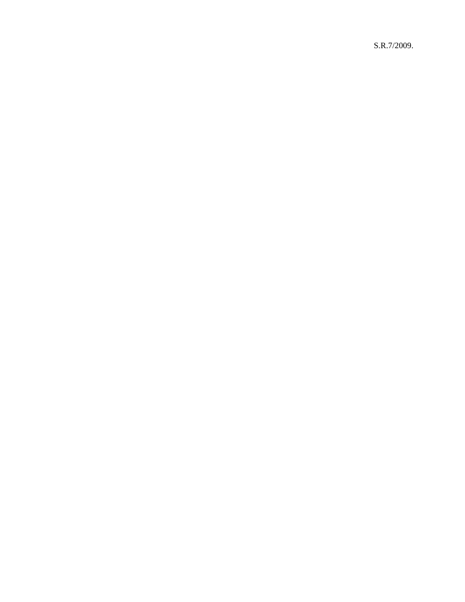S.R.7/2009.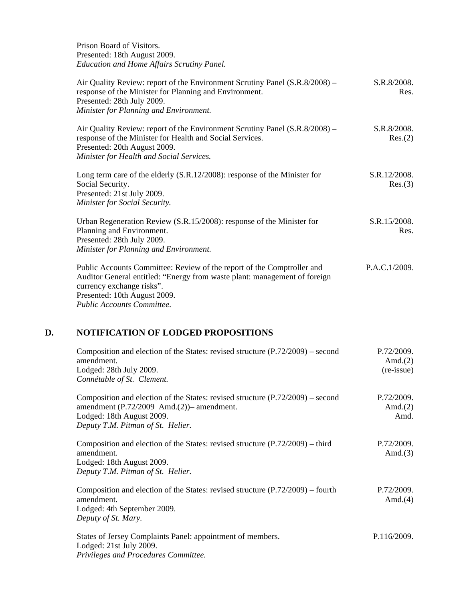Prison Board of Visitors. Presented: 18th August 2009. *Education and Home Affairs Scrutiny Panel.*

| Air Quality Review: report of the Environment Scrutiny Panel (S.R.8/2008) –<br>response of the Minister for Planning and Environment.<br>Presented: 28th July 2009.<br>Minister for Planning and Environment.                                  | S.R.8/2008.<br>Res.     |
|------------------------------------------------------------------------------------------------------------------------------------------------------------------------------------------------------------------------------------------------|-------------------------|
| Air Quality Review: report of the Environment Scrutiny Panel (S.R.8/2008) –<br>response of the Minister for Health and Social Services.<br>Presented: 20th August 2009.<br>Minister for Health and Social Services.                            | S.R.8/2008.<br>Res.(2)  |
| Long term care of the elderly $(S.R.12/2008)$ : response of the Minister for<br>Social Security.<br>Presented: 21st July 2009.<br>Minister for Social Security.                                                                                | S.R.12/2008.<br>Res.(3) |
| Urban Regeneration Review (S.R.15/2008): response of the Minister for<br>Planning and Environment.<br>Presented: 28th July 2009.<br>Minister for Planning and Environment.                                                                     | S.R.15/2008.<br>Res.    |
| Public Accounts Committee: Review of the report of the Comptroller and<br>Auditor General entitled: "Energy from waste plant: management of foreign<br>currency exchange risks".<br>Presented: 10th August 2009.<br>Public Accounts Committee. | P.A.C.1/2009.           |

# **D. NOTIFICATION OF LODGED PROPOSITIONS**

| Composition and election of the States: revised structure $(P.72/2009)$ – second<br>amendment.<br>Lodged: 28th July 2009.<br>Connétable of St. Clement.                                                    | P.72/2009.<br>Amd. $(2)$<br>(re-issue) |
|------------------------------------------------------------------------------------------------------------------------------------------------------------------------------------------------------------|----------------------------------------|
| Composition and election of the States: revised structure $(P.72/2009)$ – second<br>amendment $(P.72/2009 \text{ And.}(2))$ - amendment.<br>Lodged: 18th August 2009.<br>Deputy T.M. Pitman of St. Helier. | P.72/2009.<br>Amd. $(2)$<br>Amd.       |
| Composition and election of the States: revised structure $(P.72/2009)$ – third<br>amendment.<br>Lodged: 18th August 2009.<br>Deputy T.M. Pitman of St. Helier.                                            | P.72/2009.<br>Amd. $(3)$               |
| Composition and election of the States: revised structure $(P.72/2009)$ – fourth<br>amendment.<br>Lodged: 4th September 2009.<br>Deputy of St. Mary.                                                       | P.72/2009.<br>Amd. $(4)$               |
| States of Jersey Complaints Panel: appointment of members.<br>Lodged: 21st July 2009.                                                                                                                      | P.116/2009.                            |

*Privileges and Procedures Committee.*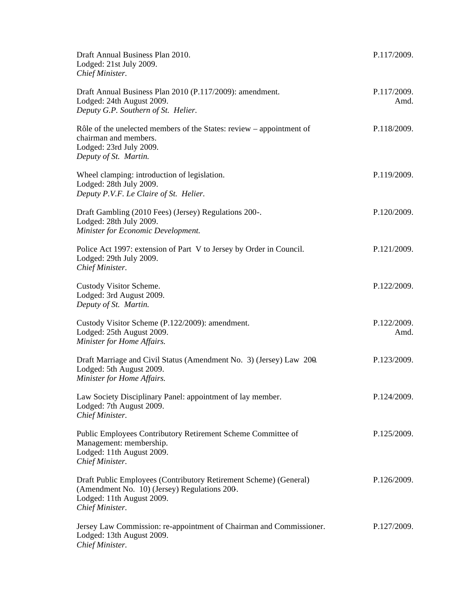| Draft Annual Business Plan 2010.<br>Lodged: 21st July 2009.<br>Chief Minister.                                                                                    | P.117/2009.         |
|-------------------------------------------------------------------------------------------------------------------------------------------------------------------|---------------------|
| Draft Annual Business Plan 2010 (P.117/2009): amendment.<br>Lodged: 24th August 2009.<br>Deputy G.P. Southern of St. Helier.                                      | P.117/2009.<br>Amd. |
| Rôle of the unelected members of the States: review – appointment of<br>chairman and members.<br>Lodged: 23rd July 2009.<br>Deputy of St. Martin.                 | P.118/2009.         |
| Wheel clamping: introduction of legislation.<br>Lodged: 28th July 2009.<br>Deputy P.V.F. Le Claire of St. Helier.                                                 | P.119/2009.         |
| Draft Gambling (2010 Fees) (Jersey) Regulations 200-.<br>Lodged: 28th July 2009.<br>Minister for Economic Development.                                            | P.120/2009.         |
| Police Act 1997: extension of Part V to Jersey by Order in Council.<br>Lodged: 29th July 2009.<br>Chief Minister.                                                 | P.121/2009.         |
| Custody Visitor Scheme.<br>Lodged: 3rd August 2009.<br>Deputy of St. Martin.                                                                                      | P.122/2009.         |
| Custody Visitor Scheme (P.122/2009): amendment.<br>Lodged: 25th August 2009.<br>Minister for Home Affairs.                                                        | P.122/2009.<br>Amd. |
| Draft Marriage and Civil Status (Amendment No. 3) (Jersey) Law 200.<br>Lodged: 5th August 2009.<br>Minister for Home Affairs.                                     | P.123/2009.         |
| Law Society Disciplinary Panel: appointment of lay member.<br>Lodged: 7th August 2009.<br>Chief Minister.                                                         | P.124/2009.         |
| Public Employees Contributory Retirement Scheme Committee of<br>Management: membership.<br>Lodged: 11th August 2009.<br>Chief Minister.                           | P.125/2009.         |
| Draft Public Employees (Contributory Retirement Scheme) (General)<br>(Amendment No. 10) (Jersey) Regulations 200.<br>Lodged: 11th August 2009.<br>Chief Minister. | P.126/2009.         |
| Jersey Law Commission: re-appointment of Chairman and Commissioner.<br>Lodged: 13th August 2009.<br>Chief Minister.                                               | P.127/2009.         |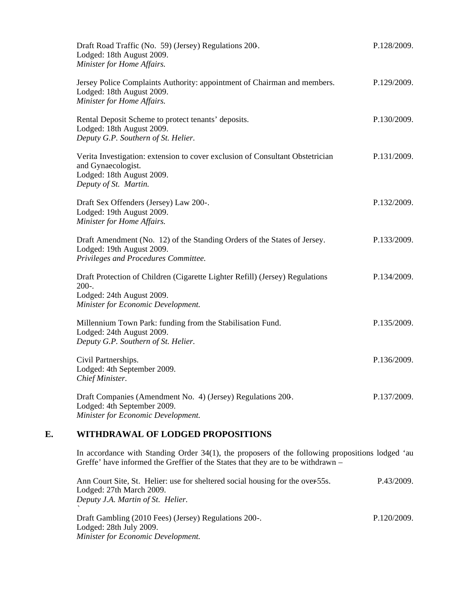| Draft Road Traffic (No. 59) (Jersey) Regulations 200.<br>Lodged: 18th August 2009.<br>Minister for Home Affairs.                                           | P.128/2009. |
|------------------------------------------------------------------------------------------------------------------------------------------------------------|-------------|
| Jersey Police Complaints Authority: appointment of Chairman and members.<br>Lodged: 18th August 2009.<br>Minister for Home Affairs.                        | P.129/2009. |
| Rental Deposit Scheme to protect tenants' deposits.<br>Lodged: 18th August 2009.<br>Deputy G.P. Southern of St. Helier.                                    | P.130/2009. |
| Verita Investigation: extension to cover exclusion of Consultant Obstetrician<br>and Gynaecologist.<br>Lodged: 18th August 2009.<br>Deputy of St. Martin.  | P.131/2009. |
| Draft Sex Offenders (Jersey) Law 200-.<br>Lodged: 19th August 2009.<br>Minister for Home Affairs.                                                          | P.132/2009. |
| Draft Amendment (No. 12) of the Standing Orders of the States of Jersey.<br>Lodged: 19th August 2009.<br>Privileges and Procedures Committee.              | P.133/2009. |
| Draft Protection of Children (Cigarette Lighter Refill) (Jersey) Regulations<br>$200-.$<br>Lodged: 24th August 2009.<br>Minister for Economic Development. | P.134/2009. |
| Millennium Town Park: funding from the Stabilisation Fund.<br>Lodged: 24th August 2009.<br>Deputy G.P. Southern of St. Helier.                             | P.135/2009. |
| Civil Partnerships.<br>Lodged: 4th September 2009.<br>Chief Minister.                                                                                      | P.136/2009. |
| Draft Companies (Amendment No. 4) (Jersey) Regulations 200.<br>Lodged: 4th September 2009.<br>Minister for Economic Development.                           | P.137/2009. |

# **E. WITHDRAWAL OF LODGED PROPOSITIONS**

In accordance with Standing Order 34(1), the proposers of the following propositions lodged 'au Greffe' have informed the Greffier of the States that they are to be withdrawn –

| Ann Court Site, St. Helier: use for sheltered social housing for the over 55s. | P.43/2009. |
|--------------------------------------------------------------------------------|------------|
| Lodged: 27th March 2009.                                                       |            |
| Deputy J.A. Martin of St. Helier.                                              |            |
|                                                                                |            |

| Draft Gambling (2010 Fees) (Jersey) Regulations 200-. | P.120/2009. |
|-------------------------------------------------------|-------------|
| Lodged: 28th July 2009.                               |             |
| <b>Minister for Economic Development.</b>             |             |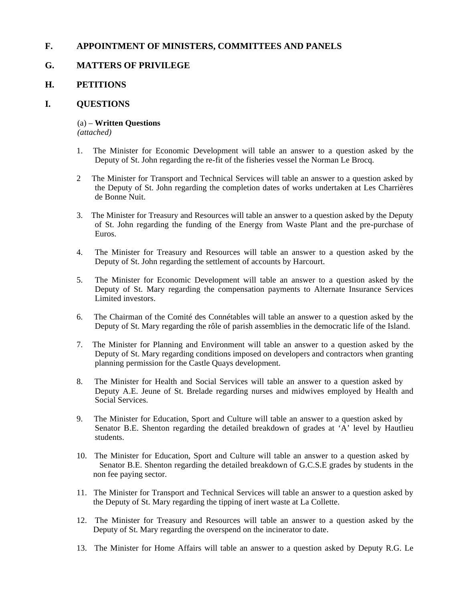# **F. APPOINTMENT OF MINISTERS, COMMITTEES AND PANELS**

# **G. MATTERS OF PRIVILEGE**

### **H. PETITIONS**

### **I. QUESTIONS**

(a) – **Written Questions** *(attached)*

- 1. The Minister for Economic Development will table an answer to a question asked by the Deputy of St. John regarding the re-fit of the fisheries vessel the Norman Le Brocq.
- 2 The Minister for Transport and Technical Services will table an answer to a question asked by the Deputy of St. John regarding the completion dates of works undertaken at Les Charrières de Bonne Nuit.
- 3. The Minister for Treasury and Resources will table an answer to a question asked by the Deputy of St. John regarding the funding of the Energy from Waste Plant and the pre-purchase of Euros.
- 4. The Minister for Treasury and Resources will table an answer to a question asked by the Deputy of St. John regarding the settlement of accounts by Harcourt.
- 5. The Minister for Economic Development will table an answer to a question asked by the Deputy of St. Mary regarding the compensation payments to Alternate Insurance Services Limited investors.
- 6. The Chairman of the Comité des Connétables will table an answer to a question asked by the Deputy of St. Mary regarding the rôle of parish assemblies in the democratic life of the Island.
- 7. The Minister for Planning and Environment will table an answer to a question asked by the Deputy of St. Mary regarding conditions imposed on developers and contractors when granting planning permission for the Castle Quays development.
- 8. The Minister for Health and Social Services will table an answer to a question asked by Deputy A.E. Jeune of St. Brelade regarding nurses and midwives employed by Health and Social Services.
- 9. The Minister for Education, Sport and Culture will table an answer to a question asked by Senator B.E. Shenton regarding the detailed breakdown of grades at 'A' level by Hautlieu students.
- 10. The Minister for Education, Sport and Culture will table an answer to a question asked by Senator B.E. Shenton regarding the detailed breakdown of G.C.S.E grades by students in the non fee paying sector.
- 11. The Minister for Transport and Technical Services will table an answer to a question asked by the Deputy of St. Mary regarding the tipping of inert waste at La Collette.
- 12. The Minister for Treasury and Resources will table an answer to a question asked by the Deputy of St. Mary regarding the overspend on the incinerator to date.
- 13. The Minister for Home Affairs will table an answer to a question asked by Deputy R.G. Le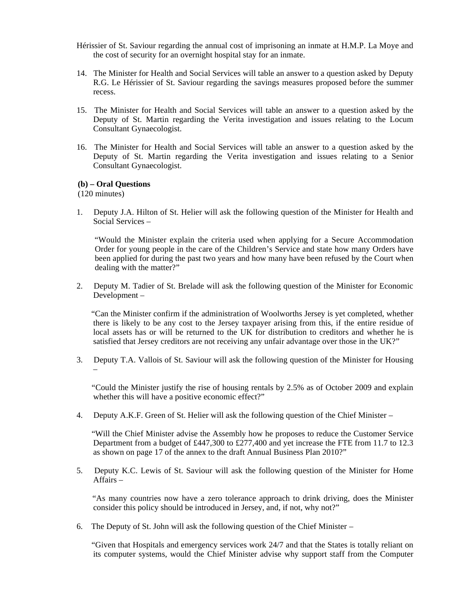- Hérissier of St. Saviour regarding the annual cost of imprisoning an inmate at H.M.P. La Moye and the cost of security for an overnight hospital stay for an inmate.
- 14. The Minister for Health and Social Services will table an answer to a question asked by Deputy R.G. Le Hérissier of St. Saviour regarding the savings measures proposed before the summer recess.
- 15. The Minister for Health and Social Services will table an answer to a question asked by the Deputy of St. Martin regarding the Verita investigation and issues relating to the Locum Consultant Gynaecologist.
- 16. The Minister for Health and Social Services will table an answer to a question asked by the Deputy of St. Martin regarding the Verita investigation and issues relating to a Senior Consultant Gynaecologist.

#### **(b) – Oral Questions**

(120 minutes)

1. Deputy J.A. Hilton of St. Helier will ask the following question of the Minister for Health and Social Services –

 "Would the Minister explain the criteria used when applying for a Secure Accommodation Order for young people in the care of the Children's Service and state how many Orders have been applied for during the past two years and how many have been refused by the Court when dealing with the matter?"

2. Deputy M. Tadier of St. Brelade will ask the following question of the Minister for Economic Development –

 "Can the Minister confirm if the administration of Woolworths Jersey is yet completed, whether there is likely to be any cost to the Jersey taxpayer arising from this, if the entire residue of local assets has or will be returned to the UK for distribution to creditors and whether he is satisfied that Jersey creditors are not receiving any unfair advantage over those in the UK?"

3. Deputy T.A. Vallois of St. Saviour will ask the following question of the Minister for Housing –

 "Could the Minister justify the rise of housing rentals by 2.5% as of October 2009 and explain whether this will have a positive economic effect?"

4. Deputy A.K.F. Green of St. Helier will ask the following question of the Chief Minister –

 "Will the Chief Minister advise the Assembly how he proposes to reduce the Customer Service Department from a budget of £447,300 to £277,400 and yet increase the FTE from 11.7 to 12.3 as shown on page 17 of the annex to the draft Annual Business Plan 2010?"

5. Deputy K.C. Lewis of St. Saviour will ask the following question of the Minister for Home Affairs –

 "As many countries now have a zero tolerance approach to drink driving, does the Minister consider this policy should be introduced in Jersey, and, if not, why not?"

6. The Deputy of St. John will ask the following question of the Chief Minister –

 "Given that Hospitals and emergency services work 24/7 and that the States is totally reliant on its computer systems, would the Chief Minister advise why support staff from the Computer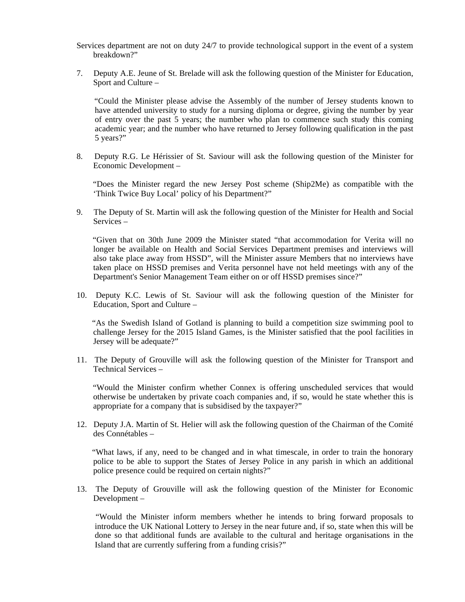Services department are not on duty 24/7 to provide technological support in the event of a system breakdown?"

7. Deputy A.E. Jeune of St. Brelade will ask the following question of the Minister for Education, Sport and Culture –

 "Could the Minister please advise the Assembly of the number of Jersey students known to have attended university to study for a nursing diploma or degree, giving the number by year of entry over the past 5 years; the number who plan to commence such study this coming academic year; and the number who have returned to Jersey following qualification in the past 5 years?"

8. Deputy R.G. Le Hérissier of St. Saviour will ask the following question of the Minister for Economic Development –

 "Does the Minister regard the new Jersey Post scheme (Ship2Me) as compatible with the 'Think Twice Buy Local' policy of his Department?"

9. The Deputy of St. Martin will ask the following question of the Minister for Health and Social Services –

 "Given that on 30th June 2009 the Minister stated "that accommodation for Verita will no longer be available on Health and Social Services Department premises and interviews will also take place away from HSSD", will the Minister assure Members that no interviews have taken place on HSSD premises and Verita personnel have not held meetings with any of the Department's Senior Management Team either on or off HSSD premises since?"

10. Deputy K.C. Lewis of St. Saviour will ask the following question of the Minister for Education, Sport and Culture –

 "As the Swedish Island of Gotland is planning to build a competition size swimming pool to challenge Jersey for the 2015 Island Games, is the Minister satisfied that the pool facilities in Jersey will be adequate?"

11. The Deputy of Grouville will ask the following question of the Minister for Transport and Technical Services –

 "Would the Minister confirm whether Connex is offering unscheduled services that would otherwise be undertaken by private coach companies and, if so, would he state whether this is appropriate for a company that is subsidised by the taxpayer?"

12. Deputy J.A. Martin of St. Helier will ask the following question of the Chairman of the Comité des Connétables –

 "What laws, if any, need to be changed and in what timescale, in order to train the honorary police to be able to support the States of Jersey Police in any parish in which an additional police presence could be required on certain nights?"

13. The Deputy of Grouville will ask the following question of the Minister for Economic Development –

 "Would the Minister inform members whether he intends to bring forward proposals to introduce the UK National Lottery to Jersey in the near future and, if so, state when this will be done so that additional funds are available to the cultural and heritage organisations in the Island that are currently suffering from a funding crisis?"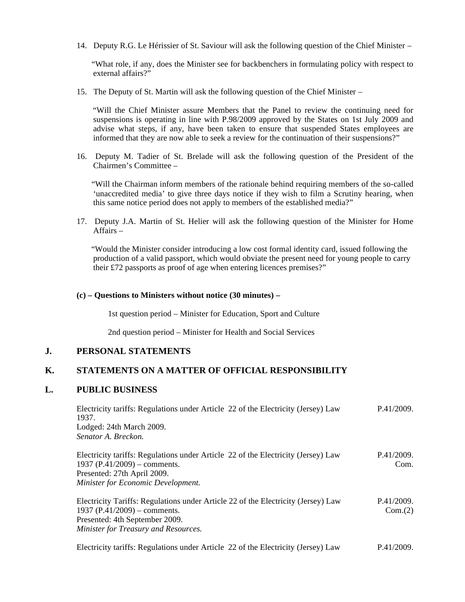14. Deputy R.G. Le Hérissier of St. Saviour will ask the following question of the Chief Minister –

 "What role, if any, does the Minister see for backbenchers in formulating policy with respect to external affairs?"

15. The Deputy of St. Martin will ask the following question of the Chief Minister –

 "Will the Chief Minister assure Members that the Panel to review the continuing need for suspensions is operating in line with P.98/2009 approved by the States on 1st July 2009 and advise what steps, if any, have been taken to ensure that suspended States employees are informed that they are now able to seek a review for the continuation of their suspensions?"

16. Deputy M. Tadier of St. Brelade will ask the following question of the President of the Chairmen's Committee –

 "Will the Chairman inform members of the rationale behind requiring members of the so-called 'unaccredited media' to give three days notice if they wish to film a Scrutiny hearing, when this same notice period does not apply to members of the established media?"

17. Deputy J.A. Martin of St. Helier will ask the following question of the Minister for Home Affairs –

 "Would the Minister consider introducing a low cost formal identity card, issued following the production of a valid passport, which would obviate the present need for young people to carry their £72 passports as proof of age when entering licences premises?"

#### **(c) – Questions to Ministers without notice (30 minutes) –**

1st question period – Minister for Education, Sport and Culture

2nd question period – Minister for Health and Social Services

# **J. PERSONAL STATEMENTS**

# **K. STATEMENTS ON A MATTER OF OFFICIAL RESPONSIBILITY**

### **L. PUBLIC BUSINESS**

| Electricity tariffs: Regulations under Article 22 of the Electricity (Jersey) Law<br>1937.<br>Lodged: 24th March 2009.                                                                 | P.41/2009.             |
|----------------------------------------------------------------------------------------------------------------------------------------------------------------------------------------|------------------------|
| Senator A. Breckon.                                                                                                                                                                    |                        |
| Electricity tariffs: Regulations under Article 22 of the Electricity (Jersey) Law<br>1937 (P.41/2009) – comments.<br>Presented: 27th April 2009.<br>Minister for Economic Development. | P.41/2009.<br>Com.     |
| $\mathbf{F1}$ , it is an and it is a contract of $\mathbf{F1}$                                                                                                                         | $P_{11}$ $\sim$ $\sim$ |

Electricity Tariffs: Regulations under Article 22 of the Electricity (Jersey) Law 1937 (P.41/2009) – comments. Presented: 4th September 2009. *Minister for Treasury and Resources.* P.41/2009. Com.(2)

Electricity tariffs: Regulations under Article 22 of the Electricity (Jersey) Law P.41/2009.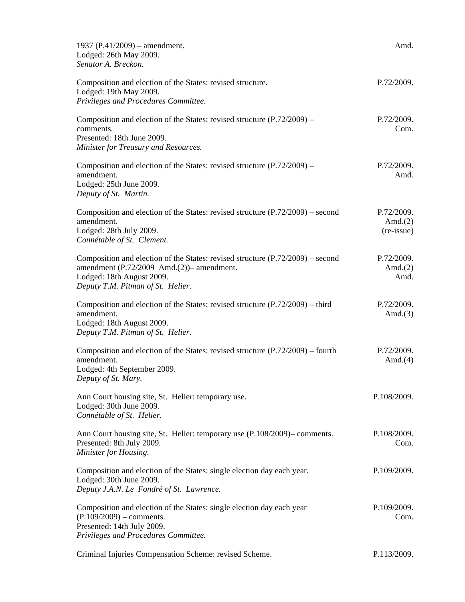| 1937 (P.41/2009) – amendment.<br>Lodged: 26th May 2009.<br>Senator A. Breckon.                                                                                                                        | Amd.                                            |
|-------------------------------------------------------------------------------------------------------------------------------------------------------------------------------------------------------|-------------------------------------------------|
| Composition and election of the States: revised structure.<br>Lodged: 19th May 2009.<br>Privileges and Procedures Committee.                                                                          | P.72/2009.                                      |
| Composition and election of the States: revised structure $(P.72/2009)$ –<br>comments.<br>Presented: 18th June 2009.<br>Minister for Treasury and Resources.                                          | P.72/2009.<br>Com.                              |
| Composition and election of the States: revised structure $(P.72/2009)$ –<br>amendment.<br>Lodged: 25th June 2009.<br>Deputy of St. Martin.                                                           | P.72/2009.<br>Amd.                              |
| Composition and election of the States: revised structure $(P.72/2009)$ – second<br>amendment.<br>Lodged: 28th July 2009.<br>Connétable of St. Clement.                                               | P.72/2009.<br>Amd. $(2)$<br>$(re\text{-}issue)$ |
| Composition and election of the States: revised structure $(P.72/2009)$ – second<br>amendment $(P.72/2009$ Amd. $(2))$ - amendment.<br>Lodged: 18th August 2009.<br>Deputy T.M. Pitman of St. Helier. | P.72/2009.<br>Amd. $(2)$<br>Amd.                |
| Composition and election of the States: revised structure $(P.72/2009)$ – third<br>amendment.<br>Lodged: 18th August 2009.<br>Deputy T.M. Pitman of St. Helier.                                       | P.72/2009.<br>Amd. $(3)$                        |
| Composition and election of the States: revised structure $(P.72/2009)$ – fourth<br>amendment.<br>Lodged: 4th September 2009.<br>Deputy of St. Mary.                                                  | P.72/2009.<br>Amd. $(4)$                        |
| Ann Court housing site, St. Helier: temporary use.<br>Lodged: 30th June 2009.<br>Connétable of St. Helier.                                                                                            | P.108/2009.                                     |
| Ann Court housing site, St. Helier: temporary use (P.108/2009)– comments.<br>Presented: 8th July 2009.<br>Minister for Housing.                                                                       | P.108/2009.<br>Com.                             |
| Composition and election of the States: single election day each year.<br>Lodged: 30th June 2009.<br>Deputy J.A.N. Le Fondré of St. Lawrence.                                                         | P.109/2009.                                     |
| Composition and election of the States: single election day each year<br>$(P.109/2009)$ – comments.<br>Presented: 14th July 2009.<br>Privileges and Procedures Committee.                             | P.109/2009.<br>Com.                             |
| Criminal Injuries Compensation Scheme: revised Scheme.                                                                                                                                                | P.113/2009.                                     |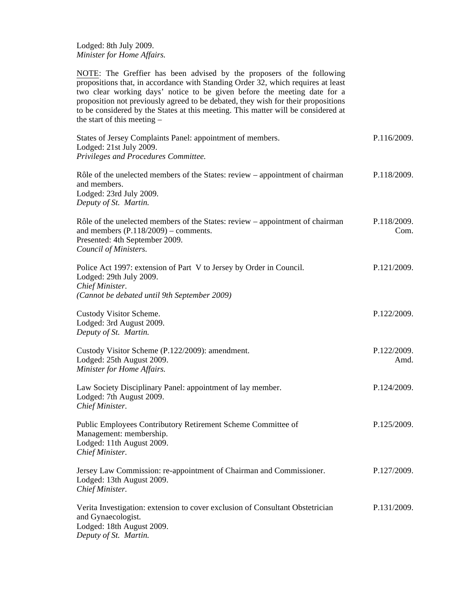Lodged: 8th July 2009. *Minister for Home Affairs.*

NOTE: The Greffier has been advised by the proposers of the following propositions that, in accordance with Standing Order  $32$ , which requires at least two clear working days' notice to be given before the meeting date for a proposition not previously agreed to be debated, they wish for their propositions to be considered by the States at this meeting. This matter will be considered at the start of this meeting –

| States of Jersey Complaints Panel: appointment of members.<br>Lodged: 21st July 2009.<br>Privileges and Procedures Committee.                                                      | P.116/2009.         |
|------------------------------------------------------------------------------------------------------------------------------------------------------------------------------------|---------------------|
| Rôle of the unelected members of the States: review – appointment of chairman<br>and members.<br>Lodged: 23rd July 2009.<br>Deputy of St. Martin.                                  | P.118/2009.         |
| Rôle of the unelected members of the States: review – appointment of chairman<br>and members $(P.118/2009)$ – comments.<br>Presented: 4th September 2009.<br>Council of Ministers. | P.118/2009.<br>Com. |
| Police Act 1997: extension of Part V to Jersey by Order in Council.<br>Lodged: 29th July 2009.<br>Chief Minister.<br>(Cannot be debated until 9th September 2009)                  | P.121/2009.         |
| Custody Visitor Scheme.<br>Lodged: 3rd August 2009.<br>Deputy of St. Martin.                                                                                                       | P.122/2009.         |
| Custody Visitor Scheme (P.122/2009): amendment.<br>Lodged: 25th August 2009.<br>Minister for Home Affairs.                                                                         | P.122/2009.<br>Amd. |
| Law Society Disciplinary Panel: appointment of lay member.<br>Lodged: 7th August 2009.<br>Chief Minister.                                                                          | P.124/2009.         |
| Public Employees Contributory Retirement Scheme Committee of<br>Management: membership.<br>Lodged: 11th August 2009.<br>Chief Minister.                                            | P.125/2009.         |
| Jersey Law Commission: re-appointment of Chairman and Commissioner.<br>Lodged: 13th August 2009.<br>Chief Minister.                                                                | P.127/2009.         |
| Verita Investigation: extension to cover exclusion of Consultant Obstetrician<br>and Gynaecologist.<br>Lodged: 18th August 2009.<br>Deputy of St. Martin.                          | P.131/2009.         |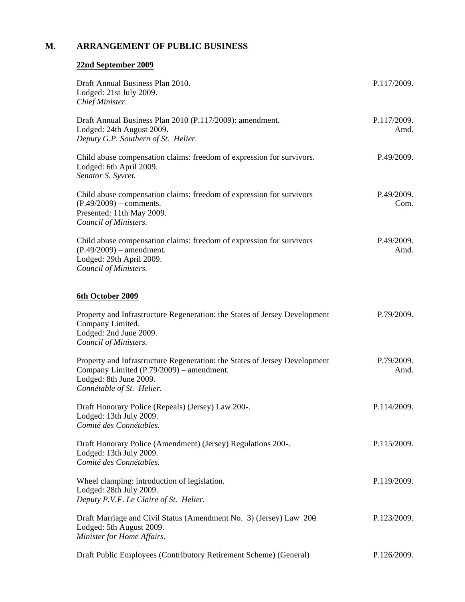# **M. ARRANGEMENT OF PUBLIC BUSINESS**

# **22nd September 2009**

| Draft Annual Business Plan 2010.<br>Lodged: 21st July 2009.<br>Chief Minister.                                                                                                | P.117/2009.         |
|-------------------------------------------------------------------------------------------------------------------------------------------------------------------------------|---------------------|
| Draft Annual Business Plan 2010 (P.117/2009): amendment.<br>Lodged: 24th August 2009.<br>Deputy G.P. Southern of St. Helier.                                                  | P.117/2009.<br>Amd. |
| Child abuse compensation claims: freedom of expression for survivors.<br>Lodged: 6th April 2009.<br>Senator S. Syvret.                                                        | P.49/2009.          |
| Child abuse compensation claims: freedom of expression for survivors<br>$(P.49/2009)$ – comments.<br>Presented: 11th May 2009.<br>Council of Ministers.                       | P.49/2009.<br>Com.  |
| Child abuse compensation claims: freedom of expression for survivors<br>$(P.49/2009)$ – amendment.<br>Lodged: 29th April 2009.<br>Council of Ministers.                       | P.49/2009.<br>Amd.  |
| 6th October 2009                                                                                                                                                              |                     |
| Property and Infrastructure Regeneration: the States of Jersey Development<br>Company Limited.<br>Lodged: 2nd June 2009.<br>Council of Ministers.                             | P.79/2009.          |
| Property and Infrastructure Regeneration: the States of Jersey Development<br>Company Limited (P.79/2009) – amendment.<br>Lodged: 8th June 2009.<br>Connétable of St. Helier. | P.79/2009.<br>Amd.  |
| Draft Honorary Police (Repeals) (Jersey) Law 200-.<br>Lodged: 13th July 2009.<br>Comité des Connétables.                                                                      | P.114/2009.         |
| Draft Honorary Police (Amendment) (Jersey) Regulations 200-.<br>Lodged: 13th July 2009.<br>Comité des Connétables.                                                            | P.115/2009.         |
| Wheel clamping: introduction of legislation.<br>Lodged: 28th July 2009.<br>Deputy P.V.F. Le Claire of St. Helier.                                                             | P.119/2009.         |
| Draft Marriage and Civil Status (Amendment No. 3) (Jersey) Law 200.<br>Lodged: 5th August 2009.<br>Minister for Home Affairs.                                                 | P.123/2009.         |
| Draft Public Employees (Contributory Retirement Scheme) (General)                                                                                                             | P.126/2009.         |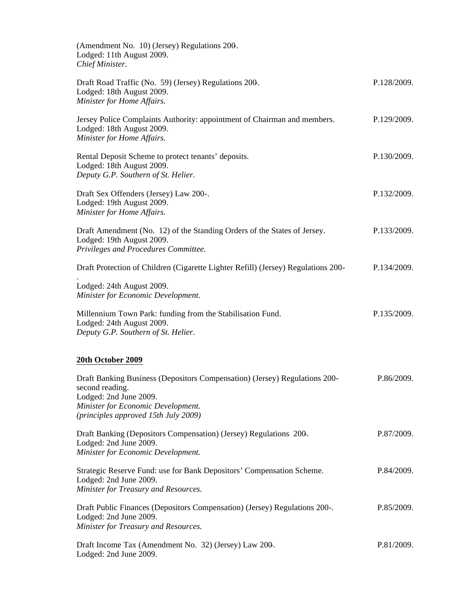| (Amendment No. 10) (Jersey) Regulations 200.<br>Lodged: 11th August 2009.<br>Chief Minister.                                                                                                          |             |
|-------------------------------------------------------------------------------------------------------------------------------------------------------------------------------------------------------|-------------|
| Draft Road Traffic (No. 59) (Jersey) Regulations 200.<br>Lodged: 18th August 2009.<br>Minister for Home Affairs.                                                                                      | P.128/2009. |
| Jersey Police Complaints Authority: appointment of Chairman and members.<br>Lodged: 18th August 2009.<br>Minister for Home Affairs.                                                                   | P.129/2009. |
| Rental Deposit Scheme to protect tenants' deposits.<br>Lodged: 18th August 2009.<br>Deputy G.P. Southern of St. Helier.                                                                               | P.130/2009. |
| Draft Sex Offenders (Jersey) Law 200-.<br>Lodged: 19th August 2009.<br>Minister for Home Affairs.                                                                                                     | P.132/2009. |
| Draft Amendment (No. 12) of the Standing Orders of the States of Jersey.<br>Lodged: 19th August 2009.<br>Privileges and Procedures Committee.                                                         | P.133/2009. |
| Draft Protection of Children (Cigarette Lighter Refill) (Jersey) Regulations 200-                                                                                                                     | P.134/2009. |
| Lodged: 24th August 2009.<br>Minister for Economic Development.                                                                                                                                       |             |
| Millennium Town Park: funding from the Stabilisation Fund.<br>Lodged: 24th August 2009.<br>Deputy G.P. Southern of St. Helier.                                                                        | P.135/2009. |
| 20th October 2009                                                                                                                                                                                     |             |
| Draft Banking Business (Depositors Compensation) (Jersey) Regulations 200-<br>second reading.<br>Lodged: 2nd June 2009.<br>Minister for Economic Development.<br>(principles approved 15th July 2009) | P.86/2009.  |
| Draft Banking (Depositors Compensation) (Jersey) Regulations 200.<br>Lodged: 2nd June 2009.<br>Minister for Economic Development.                                                                     | P.87/2009.  |
| Strategic Reserve Fund: use for Bank Depositors' Compensation Scheme.<br>Lodged: 2nd June 2009.<br>Minister for Treasury and Resources.                                                               | P.84/2009.  |
| Draft Public Finances (Depositors Compensation) (Jersey) Regulations 200-.<br>Lodged: 2nd June 2009.<br>Minister for Treasury and Resources.                                                          | P.85/2009.  |
| Draft Income Tax (Amendment No. 32) (Jersey) Law 200.<br>Lodged: 2nd June 2009.                                                                                                                       | P.81/2009.  |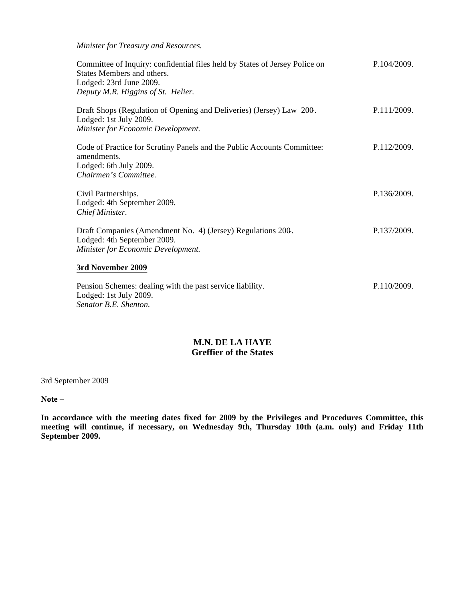*Minister for Treasury and Resources.*

| Committee of Inquiry: confidential files held by States of Jersey Police on<br>States Members and others.<br>Lodged: 23rd June 2009.<br>Deputy M.R. Higgins of St. Helier. | P.104/2009. |
|----------------------------------------------------------------------------------------------------------------------------------------------------------------------------|-------------|
| Draft Shops (Regulation of Opening and Deliveries) (Jersey) Law 200.<br>Lodged: 1st July 2009.<br>Minister for Economic Development.                                       | P.111/2009. |
| Code of Practice for Scrutiny Panels and the Public Accounts Committee:<br>amendments.<br>Lodged: 6th July 2009.<br>Chairmen's Committee.                                  | P.112/2009. |
| Civil Partnerships.<br>Lodged: 4th September 2009.<br>Chief Minister.                                                                                                      | P.136/2009. |
| Draft Companies (Amendment No. 4) (Jersey) Regulations 200.<br>Lodged: 4th September 2009.<br>Minister for Economic Development.                                           | P.137/2009. |
| 3rd November 2009                                                                                                                                                          |             |
| Pension Schemes: dealing with the past service liability.<br>Lodged: 1st July 2009.<br>$\blacksquare$                                                                      | P.110/2009. |

*Senator B.E. Shenton.*

### **M.N. DE LA HAYE Greffier of the States**

3rd September 2009

**Note –**

**In accordance with the meeting dates fixed for 2009 by the Privileges and Procedures Committee, this meeting will continue, if necessary, on Wednesday 9th, Thursday 10th (a.m. only) and Friday 11th September 2009.**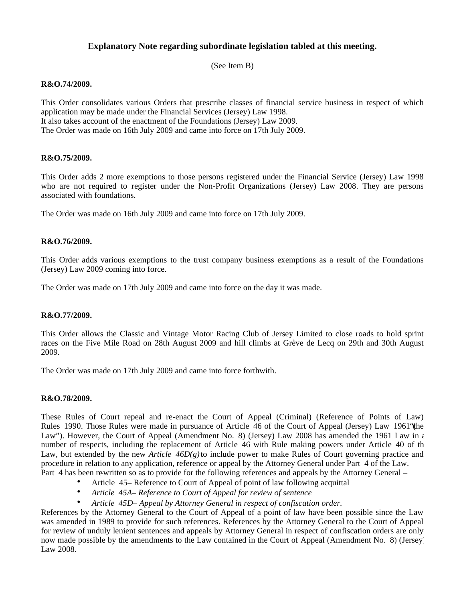# **Explanatory Note regarding subordinate legislation tabled at this meeting.**

(See Item B)

#### **R&O.74/2009.**

This Order consolidates various Orders that prescribe classes of financial service business in respect of which application may be made under the Financial Services (Jersey) Law 1998. It also takes account of the enactment of the Foundations (Jersey) Law 2009. The Order was made on 16th July 2009 and came into force on 17th July 2009.

#### **R&O.75/2009.**

This Order adds 2 more exemptions to those persons registered under the Financial Service (Jersey) Law 1998 who are not required to register under the Non-Profit Organizations (Jersey) Law 2008. They are persons associated with foundations.

The Order was made on 16th July 2009 and came into force on 17th July 2009.

#### **R&O.76/2009.**

This Order adds various exemptions to the trust company business exemptions as a result of the Foundations (Jersey) Law 2009 coming into force.

The Order was made on 17th July 2009 and came into force on the day it was made.

#### **R&O.77/2009.**

This Order allows the Classic and Vintage Motor Racing Club of Jersey Limited to close roads to hold sprint races on the Five Mile Road on 28th August 2009 and hill climbs at Grève de Lecq on 29th and 30th August 2009.

The Order was made on 17th July 2009 and came into force forthwith.

#### **R&O.78/2009.**

These Rules of Court repeal and re-enact the Court of Appeal (Criminal) (Reference of Points of Law) Rules 1990. Those Rules were made in pursuance of Article 46 of the Court of Appeal (Jersey) Law 1961 (the Law"). However, the Court of Appeal (Amendment No. 8) (Jersey) Law 2008 has amended the 1961 Law in a number of respects, including the replacement of Article 46 with Rule making powers under Article 40 of the Law, but extended by the new *Article 46D(g)* to include power to make Rules of Court governing practice and procedure in relation to any application, reference or appeal by the Attorney General under Part 4 of the Law. Part 4 has been rewritten so as to provide for the following references and appeals by the Attorney General –

- Article 45 Reference to Court of Appeal of point of law following acquittal
- *Article 45A–Reference to Court of Appeal for review of sentence*
- *Article 45D–Appeal by Attorney General in respect of confiscation order.*

References by the Attorney General to the Court of Appeal of a point of law have been possible since the Law was amended in 1989 to provide for such references. References by the Attorney General to the Court of Appeal for review of unduly lenient sentences and appeals by Attorney General in respect of confiscation orders are only now made possible by the amendments to the Law contained in the Court of Appeal (Amendment No. 8) (Jersey) Law 2008.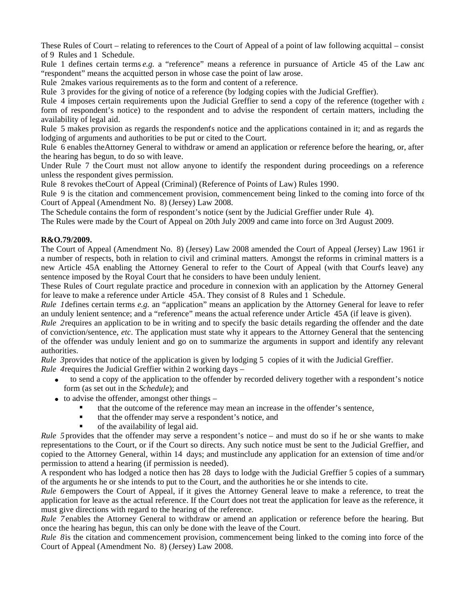These Rules of Court – relating to references to the Court of Appeal of a point of law following acquittal – consist of 9 Rules and 1 Schedule.

Rule 1 defines certain terms *e.g.* a "reference" means a reference in pursuance of Article 45 of the Law and "respondent" means the acquitted person in whose case the point of law arose.

Rule 2makes various requirements as to the form and content of a reference.

Rule 3 provides for the giving of notice of a reference (by lodging copies with the Judicial Greffier).

Rule 4 imposes certain requirements upon the Judicial Greffier to send a copy of the reference (together with  $\epsilon$ form of respondent's notice) to the respondent and to advise the respondent of certain matters, including the availability of legal aid.

Rule 5 makes provision as regards the respondents notice and the applications contained in it; and as regards the lodging of arguments and authorities to be put or cited to the Court.

Rule 6 enables theAttorney General to withdraw or amend an application or reference before the hearing, or, after the hearing has begun, to do so with leave.

Under Rule 7 the Court must not allow anyone to identify the respondent during proceedings on a reference unless the respondent gives permission.

Rule 8 revokes the Court of Appeal (Criminal) (Reference of Points of Law) Rules 1990.

Rule 9 is the citation and commencement provision, commencement being linked to the coming into force of the Court of Appeal (Amendment No. 8) (Jersey) Law 2008.

The Schedule contains the form of respondent's notice (sent by the Judicial Greffier under Rule 4).

The Rules were made by the Court of Appeal on 20th July 2009 and came into force on 3rd August 2009.

#### **R&O.79/2009.**

The Court of Appeal (Amendment No. 8) (Jersey) Law 2008 amended the Court of Appeal (Jersey) Law 1961 in a number of respects, both in relation to civil and criminal matters. Amongst the reforms in criminal matters is a new Article 45A enabling the Attorney General to refer to the Court of Appeal (with that Court's leave) any sentence imposed by the Royal Court that he considers to have been unduly lenient.

These Rules of Court regulate practice and procedure in connexion with an application by the Attorney General for leave to make a reference under Article 45A. They consist of 8 Rules and 1 Schedule.

*Rule 1* defines certain terms *e.g.* an "application" means an application by the Attorney General for leave to refer an unduly lenient sentence; and a "reference" means the actual reference under Article 45A (if leave is given).

*Rule 2*requires an application to be in writing and to specify the basic details regarding the offender and the date of conviction/sentence, *etc*. The application must state why it appears to the Attorney General that the sentencing of the offender was unduly lenient and go on to summarize the arguments in support and identify any relevant authorities.

*Rule 3*provides that notice of the application is given by lodging 5 copies of it with the Judicial Greffier. *Rule 4*requires the Judicial Greffier within 2 working days –

- to send a copy of the application to the offender by recorded delivery together with a respondent's notice form (as set out in the *Schedule*); and
- $\bullet$  to advise the offender, amongst other things
	- that the outcome of the reference may mean an increase in the offender's sentence,<br>■ that the offender may serve a respondent's notice, and
	- that the offender may serve a respondent's notice, and
		- of the availability of legal aid.

*Rule 5* provides that the offender may serve a respondent's notice – and must do so if he or she wants to make representations to the Court, or if the Court so directs. Any such notice must be sent to the Judicial Greffier, and copied to the Attorney General, within 14 days; and mustinclude any application for an extension of time and/or permission to attend a hearing (if permission is needed).

A respondent who has lodged a notice then has 28 days to lodge with the Judicial Greffier 5 copies of a summary of the arguments he or she intends to put to the Court, and the authorities he or she intends to cite.

*Rule 6* empowers the Court of Appeal, if it gives the Attorney General leave to make a reference, to treat the application for leave as the actual reference. If the Court does not treat the application for leave as the reference, it must give directions with regard to the hearing of the reference.

*Rule 7* enables the Attorney General to withdraw or amend an application or reference before the hearing. But once the hearing has begun, this can only be done with the leave of the Court.

*Rule 8* is the citation and commencement provision, commencement being linked to the coming into force of the Court of Appeal (Amendment No. 8) (Jersey) Law 2008.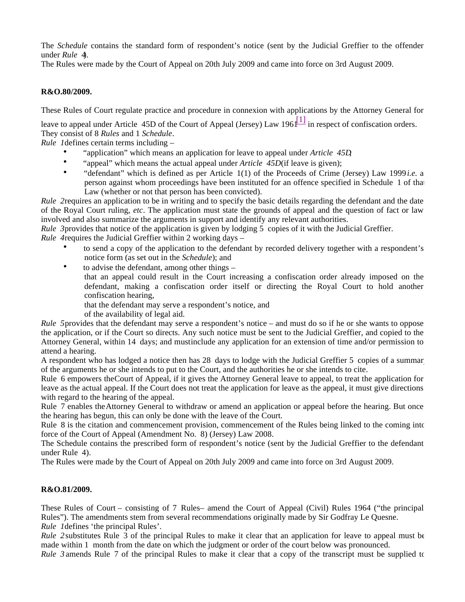The *Schedule* contains the standard form of respondent's notice (sent by the Judicial Greffier to the offender under *Rule 4*).

The Rules were made by the Court of Appeal on 20th July 2009 and came into force on 3rd August 2009.

### **R&O.80/2009.**

These Rules of Court regulate practice and procedure in connexion with applications by the Attorney General for

leave to appeal under Article 45D of the Court of Appeal (Jersey) Law 196 $\left[\frac{11}{11}\right]$  in respect of confiscation orders. They consist of 8 *Rules* and 1 *Schedule*.

*Rule 1* defines certain terms including –

- "application" which means an application for leave to appeal under *Article 45D*;
- "appeal" which means the actual appeal under *Article 45D*(if leave is given);
- "defendant" which is defined as per Article 1(1) of the Proceeds of Crime (Jersey) Law 1999*i.e.* a person against whom proceedings have been instituted for an offence specified in Schedule 1 of that Law (whether or not that person has been convicted).

*Rule 2*requires an application to be in writing and to specify the basic details regarding the defendant and the date of the Royal Court ruling, *etc*. The application must state the grounds of appeal and the question of fact or law involved and also summarize the arguments in support and identify any relevant authorities.

*Rule 3*provides that notice of the application is given by lodging 5 copies of it with the Judicial Greffier.

*Rule 4*requires the Judicial Greffier within 2 working days –

- to send a copy of the application to the defendant by recorded delivery together with a respondent's notice form (as set out in the *Schedule*); and
- to advise the defendant, among other things
	- that an appeal could result in the Court increasing a confiscation order already imposed on the defendant, making a confiscation order itself or directing the Royal Court to hold another confiscation hearing,
		- that the defendant may serve a respondent's notice, and
		- of the availability of legal aid.

*Rule 5*provides that the defendant may serve a respondent's notice – and must do so if he or she wants to oppose the application, or if the Court so directs. Any such notice must be sent to the Judicial Greffier, and copied to the Attorney General, within 14 days; and mustinclude any application for an extension of time and/or permission to attend a hearing.

A respondent who has lodged a notice then has 28 days to lodge with the Judicial Greffier 5 copies of a summary of the arguments he or she intends to put to the Court, and the authorities he or she intends to cite.

Rule 6 empowers the Court of Appeal, if it gives the Attorney General leave to appeal, to treat the application for leave as the actual appeal. If the Court does not treat the application for leave as the appeal, it must give directions with regard to the hearing of the appeal.

Rule 7 enables theAttorney General to withdraw or amend an application or appeal before the hearing. But once the hearing has begun, this can only be done with the leave of the Court.

Rule 8 is the citation and commencement provision, commencement of the Rules being linked to the coming into force of the Court of Appeal (Amendment No. 8) (Jersey) Law 2008.

The Schedule contains the prescribed form of respondent's notice (sent by the Judicial Greffier to the defendant under Rule 4).

The Rules were made by the Court of Appeal on 20th July 2009 and came into force on 3rd August 2009.

# **R&O.81/2009.**

These Rules of Court – consisting of 7 Rules – amend the Court of Appeal (Civil) Rules 1964 ("the principal Rules"). The amendments stem from several recommendations originally made by Sir Godfray Le Quesne. *Rule 1* defines 'the principal Rules'.

*Rule 2* substitutes Rule 3 of the principal Rules to make it clear that an application for leave to appeal must be made within 1 month from the date on which the judgment or order of the court below was pronounced.

*Rule 3* amends Rule 7 of the principal Rules to make it clear that a copy of the transcript must be supplied to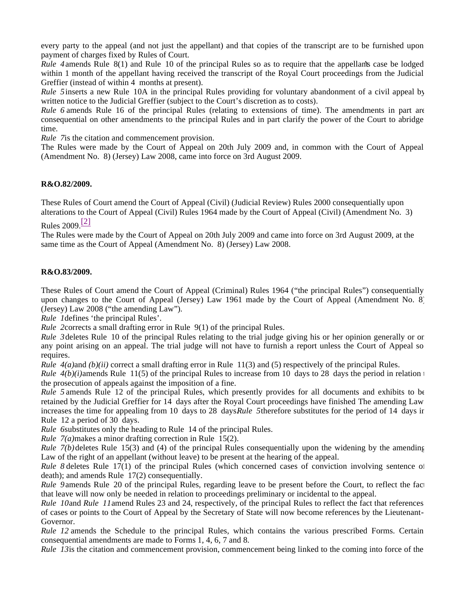every party to the appeal (and not just the appellant) and that copies of the transcript are to be furnished upon payment of charges fixed by Rules of Court.

*Rule 4* amends Rule 8(1) and Rule 10 of the principal Rules so as to require that the appellant's case be lodged within 1 month of the appellant having received the transcript of the Royal Court proceedings from the Judicial Greffier (instead of within 4 months at present).

*Rule 5* inserts a new Rule 10A in the principal Rules providing for voluntary abandonment of a civil appeal by written notice to the Judicial Greffier (subject to the Court's discretion as to costs).

*Rule 6* amends Rule 16 of the principal Rules (relating to extensions of time). The amendments in part are consequential on other amendments to the principal Rules and in part clarify the power of the Court to abridge time.

*Rule 7* is the citation and commencement provision.

The Rules were made by the Court of Appeal on 20th July 2009 and, in common with the Court of Appeal (Amendment No. 8) (Jersey) Law 2008, came into force on 3rd August 2009.

### **R&O.82/2009.**

These Rules of Court amend the Court of Appeal (Civil) (Judicial Review) Rules 2000 consequentially upon alterations to the Court of Appeal (Civil) Rules 1964 made by the Court of Appeal (Civil) (Amendment No. 3) Rules  $2009 \frac{[2]}{[2]}$ 

The Rules were made by the Court of Appeal on 20th July 2009 and came into force on 3rd August 2009, at the same time as the Court of Appeal (Amendment No. 8) (Jersey) Law 2008.

### **R&O.83/2009.**

These Rules of Court amend the Court of Appeal (Criminal) Rules 1964 ("the principal Rules") consequentially upon changes to the Court of Appeal (Jersey) Law 1961 made by the Court of Appeal (Amendment No. 8) (Jersey) Law 2008 ("the amending Law").

*Rule 1* defines 'the principal Rules'.

*Rule 2* corrects a small drafting error in Rule 9(1) of the principal Rules.

*Rule 3* deletes Rule 10 of the principal Rules relating to the trial judge giving his or her opinion generally or on any point arising on an appeal. The trial judge will not have to furnish a report unless the Court of Appeal so requires.

*Rule 4(a)* and *(b)(ii)* correct a small drafting error in Rule 11(3) and (5) respectively of the principal Rules.

*Rule 4(b)(i)* amends Rule 11(5) of the principal Rules to increase from 10 days to 28 days the period in relation to the prosecution of appeals against the imposition of a fine.

*Rule 5* amends Rule 12 of the principal Rules, which presently provides for all documents and exhibits to be retained by the Judicial Greffier for 14 days after the Royal Court proceedings have finished The amending Law increases the time for appealing from 10 days to 28 days.*Rule 5* therefore substitutes for the period of 14 days in Rule 12 a period of 30 days.

*Rule 6* substitutes only the heading to Rule 14 of the principal Rules.

*Rule 7(a)*makes a minor drafting correction in Rule 15(2).

*Rule 7(b)* deletes Rule 15(3) and (4) of the principal Rules consequentially upon the widening by the amending Law of the right of an appellant (without leave) to be present at the hearing of the appeal.

*Rule 8* deletes Rule 17(1) of the principal Rules (which concerned cases of conviction involving sentence of death); and amends Rule 17(2) consequentially.

*Rule 9* amends Rule 20 of the principal Rules, regarding leave to be present before the Court, to reflect the fact that leave will now only be needed in relation to proceedings preliminary or incidental to the appeal.

*Rule 10*and *Rule 11* amend Rules 23 and 24, respectively, of the principal Rules to reflect the fact that references of cases or points to the Court of Appeal by the Secretary of State will now become references by the Lieutenant-Governor.

*Rule 12* amends the Schedule to the principal Rules, which contains the various prescribed Forms. Certain consequential amendments are made to Forms 1, 4, 6, 7 and 8.

*Rule 13*is the citation and commencement provision, commencement being linked to the coming into force of the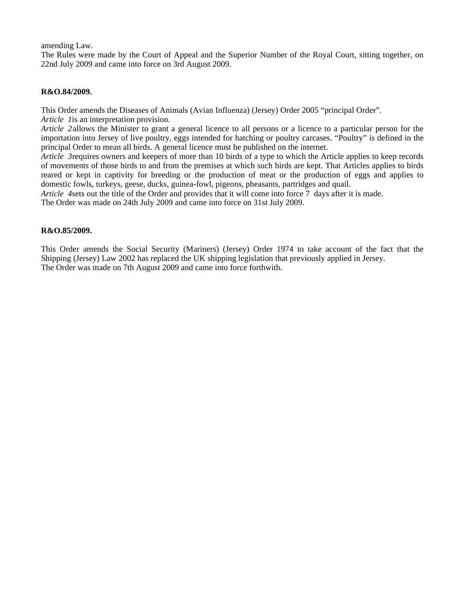amending Law.

The Rules were made by the Court of Appeal and the Superior Number of the Royal Court, sitting together, on 22nd July 2009 and came into force on 3rd August 2009.

#### **R&O.84/2009.**

This Order amends the Diseases of Animals (Avian Influenza) (Jersey) Order 2005 "principal Order".

*Article 1* is an interpretation provision.

*Article 2* allows the Minister to grant a general licence to all persons or a licence to a particular person for the importation into Jersey of live poultry, eggs intended for hatching or poultry carcases. "Poultry" is defined in the principal Order to mean all birds. A general licence must be published on the internet.

*Article 3* requires owners and keepers of more than 10 birds of a type to which the Article applies to keep records of movements of those birds to and from the premises at which such birds are kept. That Articles applies to birds reared or kept in captivity for breeding or the production of meat or the production of eggs and applies to domestic fowls, turkeys, geese, ducks, guinea-fowl, pigeons, pheasants, partridges and quail.

*Article 4* sets out the title of the Order and provides that it will come into force 7 days after it is made.

The Order was made on 24th July 2009 and came into force on 31st July 2009.

#### **R&O.85/2009.**

This Order amends the Social Security (Mariners) (Jersey) Order 1974 to take account of the fact that the Shipping (Jersey) Law 2002 has replaced the UK shipping legislation that previously applied in Jersey. The Order was made on 7th August 2009 and came into force forthwith.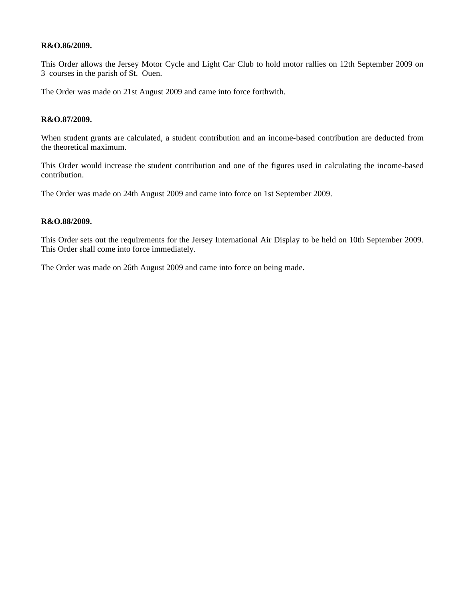#### **R&O.86/2009.**

This Order allows the Jersey Motor Cycle and Light Car Club to hold motor rallies on 12th September 2009 on 3 courses in the parish of St. Ouen.

The Order was made on 21st August 2009 and came into force forthwith.

#### **R&O.87/2009.**

When student grants are calculated, a student contribution and an income-based contribution are deducted from the theoretical maximum.

This Order would increase the student contribution and one of the figures used in calculating the income-based contribution.

The Order was made on 24th August 2009 and came into force on 1st September 2009.

#### **R&O.88/2009.**

This Order sets out the requirements for the Jersey International Air Display to be held on 10th September 2009. This Order shall come into force immediately.

The Order was made on 26th August 2009 and came into force on being made.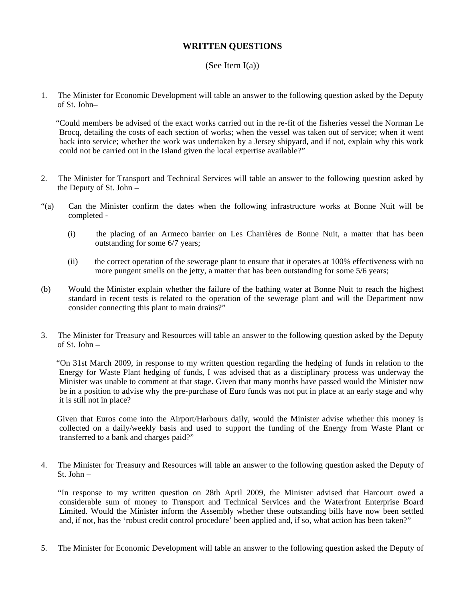# **WRITTEN QUESTIONS**

# (See Item I(a))

1. The Minister for Economic Development will table an answer to the following question asked by the Deputy of St. John–

 "Could members be advised of the exact works carried out in the re-fit of the fisheries vessel the Norman Le Brocq, detailing the costs of each section of works; when the vessel was taken out of service; when it went back into service; whether the work was undertaken by a Jersey shipyard, and if not, explain why this work could not be carried out in the Island given the local expertise available?"

- 2. The Minister for Transport and Technical Services will table an answer to the following question asked by the Deputy of St. John –
- "(a) Can the Minister confirm the dates when the following infrastructure works at Bonne Nuit will be completed -
	- (i) the placing of an Armeco barrier on Les Charrières de Bonne Nuit, a matter that has been outstanding for some 6/7 years;
	- (ii) the correct operation of the sewerage plant to ensure that it operates at 100% effectiveness with no more pungent smells on the jetty, a matter that has been outstanding for some 5/6 years;
- (b) Would the Minister explain whether the failure of the bathing water at Bonne Nuit to reach the highest standard in recent tests is related to the operation of the sewerage plant and will the Department now consider connecting this plant to main drains?"
- 3. The Minister for Treasury and Resources will table an answer to the following question asked by the Deputy of St. John –

 "On 31st March 2009, in response to my written question regarding the hedging of funds in relation to the Energy for Waste Plant hedging of funds, I was advised that as a disciplinary process was underway the Minister was unable to comment at that stage. Given that many months have passed would the Minister now be in a position to advise why the pre-purchase of Euro funds was not put in place at an early stage and why it is still not in place?

 Given that Euros come into the Airport/Harbours daily, would the Minister advise whether this money is collected on a daily/weekly basis and used to support the funding of the Energy from Waste Plant or transferred to a bank and charges paid?"

4. The Minister for Treasury and Resources will table an answer to the following question asked the Deputy of St. John –

 "In response to my written question on 28th April 2009, the Minister advised that Harcourt owed a considerable sum of money to Transport and Technical Services and the Waterfront Enterprise Board Limited. Would the Minister inform the Assembly whether these outstanding bills have now been settled and, if not, has the 'robust credit control procedure' been applied and, if so, what action has been taken?"

5. The Minister for Economic Development will table an answer to the following question asked the Deputy of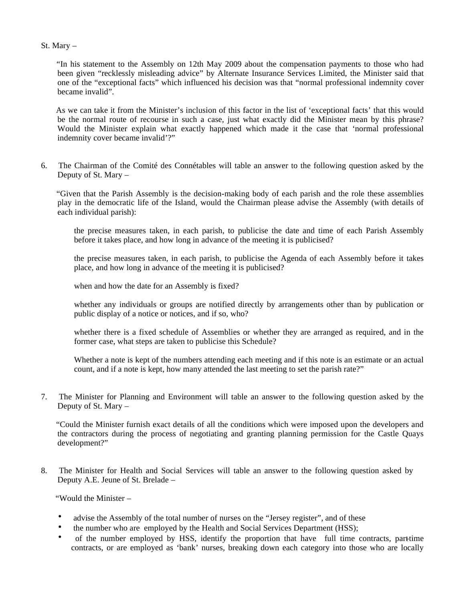#### St. Mary –

 "In his statement to the Assembly on 12th May 2009 about the compensation payments to those who had been given "recklessly misleading advice" by Alternate Insurance Services Limited, the Minister said that one of the "exceptional facts" which influenced his decision was that "normal professional indemnity cover became invalid".

 As we can take it from the Minister's inclusion of this factor in the list of 'exceptional facts' that this would be the normal route of recourse in such a case, just what exactly did the Minister mean by this phrase? Would the Minister explain what exactly happened which made it the case that 'normal professional indemnity cover became invalid'?"

6. The Chairman of the Comité des Connétables will table an answer to the following question asked by the Deputy of St. Mary –

 "Given that the Parish Assembly is the decision-making body of each parish and the role these assemblies play in the democratic life of the Island, would the Chairman please advise the Assembly (with details of each individual parish):

the precise measures taken, in each parish, to publicise the date and time of each Parish Assembly before it takes place, and how long in advance of the meeting it is publicised?

the precise measures taken, in each parish, to publicise the Agenda of each Assembly before it takes place, and how long in advance of the meeting it is publicised?

when and how the date for an Assembly is fixed?

whether any individuals or groups are notified directly by arrangements other than by publication or public display of a notice or notices, and if so, who?

whether there is a fixed schedule of Assemblies or whether they are arranged as required, and in the former case, what steps are taken to publicise this Schedule?

Whether a note is kept of the numbers attending each meeting and if this note is an estimate or an actual count, and if a note is kept, how many attended the last meeting to set the parish rate?"

7. The Minister for Planning and Environment will table an answer to the following question asked by the Deputy of St. Mary –

 "Could the Minister furnish exact details of all the conditions which were imposed upon the developers and the contractors during the process of negotiating and granting planning permission for the Castle Quays development?"

8. The Minister for Health and Social Services will table an answer to the following question asked by Deputy A.E. Jeune of St. Brelade –

"Would the Minister –

- advise the Assembly of the total number of nurses on the "Jersey register", and of these
- the number who are employed by the Health and Social Services Department (HSS);
- of the number employed by HSS, identify the proportion that have full time contracts, parttime contracts, or are employed as 'bank' nurses, breaking down each category into those who are locally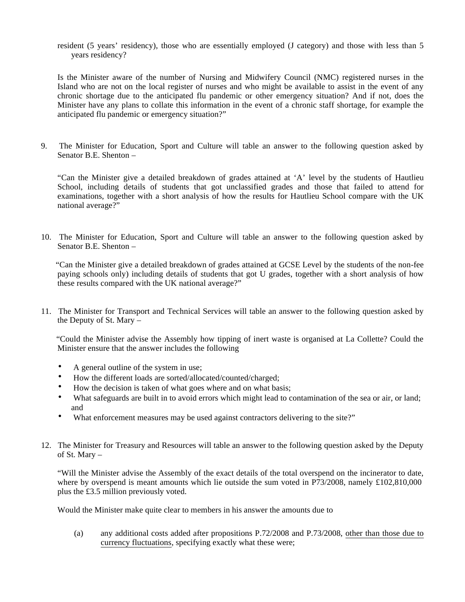resident (5 years' residency), those who are essentially employed (J category) and those with less than 5 years residency?

Is the Minister aware of the number of Nursing and Midwifery Council (NMC) registered nurses in the Island who are not on the local register of nurses and who might be available to assist in the event of any chronic shortage due to the anticipated flu pandemic or other emergency situation? And if not, does the Minister have any plans to collate this information in the event of a chronic staff shortage, for example the anticipated flu pandemic or emergency situation?"

9. The Minister for Education, Sport and Culture will table an answer to the following question asked by Senator B.E. Shenton –

"Can the Minister give a detailed breakdown of grades attained at 'A' level by the students of Hautlieu School, including details of students that got unclassified grades and those that failed to attend for examinations, together with a short analysis of how the results for Hautlieu School compare with the UK national average?"

10. The Minister for Education, Sport and Culture will table an answer to the following question asked by Senator B.E. Shenton –

 "Can the Minister give a detailed breakdown of grades attained at GCSE Level by the students of the non-fee paying schools only) including details of students that got U grades, together with a short analysis of how these results compared with the UK national average?"

11. The Minister for Transport and Technical Services will table an answer to the following question asked by the Deputy of St. Mary –

 "Could the Minister advise the Assembly how tipping of inert waste is organised at La Collette? Could the Minister ensure that the answer includes the following

- A general outline of the system in use;
- How the different loads are sorted/allocated/counted/charged;
- How the decision is taken of what goes where and on what basis;
- What safeguards are built in to avoid errors which might lead to contamination of the sea or air, or land; and
- What enforcement measures may be used against contractors delivering to the site?"
- 12. The Minister for Treasury and Resources will table an answer to the following question asked by the Deputy of St. Mary –

"Will the Minister advise the Assembly of the exact details of the total overspend on the incinerator to date, where by overspend is meant amounts which lie outside the sum voted in P73/2008, namely £102,810,000 plus the £3.5 million previously voted.

Would the Minister make quite clear to members in his answer the amounts due to

(a) any additional costs added after propositions P.72/2008 and P.73/2008, other than those due to currency fluctuations, specifying exactly what these were;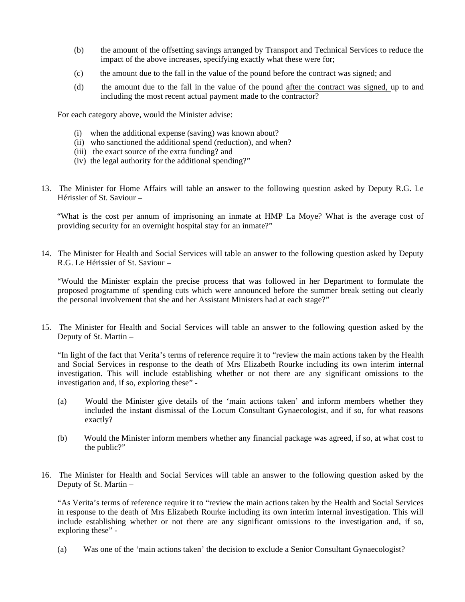- (b) the amount of the offsetting savings arranged by Transport and Technical Services to reduce the impact of the above increases, specifying exactly what these were for;
- (c) the amount due to the fall in the value of the pound before the contract was signed; and
- (d) the amount due to the fall in the value of the pound after the contract was signed, up to and including the most recent actual payment made to the contractor?

For each category above, would the Minister advise:

- (i) when the additional expense (saving) was known about?
- (ii) who sanctioned the additional spend (reduction), and when?
- (iii) the exact source of the extra funding? and
- (iv) the legal authority for the additional spending?"
- 13. The Minister for Home Affairs will table an answer to the following question asked by Deputy R.G. Le Hérissier of St. Saviour –

 "What is the cost per annum of imprisoning an inmate at HMP La Moye? What is the average cost of providing security for an overnight hospital stay for an inmate?"

14. The Minister for Health and Social Services will table an answer to the following question asked by Deputy R.G. Le Hérissier of St. Saviour –

 "Would the Minister explain the precise process that was followed in her Department to formulate the proposed programme of spending cuts which were announced before the summer break setting out clearly the personal involvement that she and her Assistant Ministers had at each stage?"

15. The Minister for Health and Social Services will table an answer to the following question asked by the Deputy of St. Martin –

"In light of the fact that Verita's terms of reference require it to "review the main actions taken by the Health and Social Services in response to the death of Mrs Elizabeth Rourke including its own interim internal investigation. This will include establishing whether or not there are any significant omissions to the investigation and, if so, exploring these" -

- (a) Would the Minister give details of the 'main actions taken' and inform members whether they included the instant dismissal of the Locum Consultant Gynaecologist, and if so, for what reasons exactly?
- (b) Would the Minister inform members whether any financial package was agreed, if so, at what cost to the public?"
- 16. The Minister for Health and Social Services will table an answer to the following question asked by the Deputy of St. Martin –

"As Verita's terms of reference require it to "review the main actions taken by the Health and Social Services in response to the death of Mrs Elizabeth Rourke including its own interim internal investigation. This will include establishing whether or not there are any significant omissions to the investigation and, if so, exploring these" -

(a) Was one of the 'main actions taken' the decision to exclude a Senior Consultant Gynaecologist?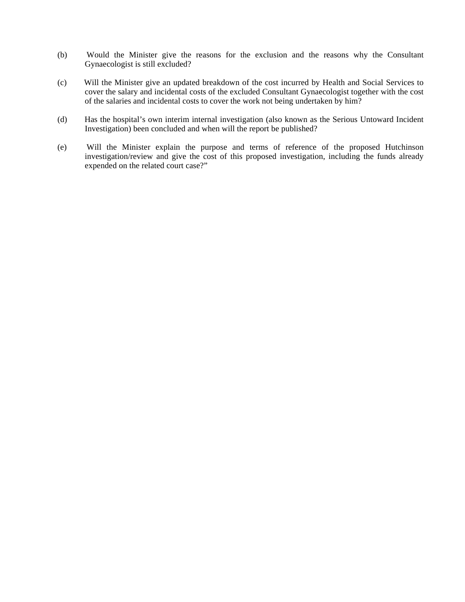- (b) Would the Minister give the reasons for the exclusion and the reasons why the Consultant Gynaecologist is still excluded?
- (c) Will the Minister give an updated breakdown of the cost incurred by Health and Social Services to cover the salary and incidental costs of the excluded Consultant Gynaecologist together with the cost of the salaries and incidental costs to cover the work not being undertaken by him?
- (d) Has the hospital's own interim internal investigation (also known as the Serious Untoward Incident Investigation) been concluded and when will the report be published?
- (e) Will the Minister explain the purpose and terms of reference of the proposed Hutchinson investigation/review and give the cost of this proposed investigation, including the funds already expended on the related court case?"